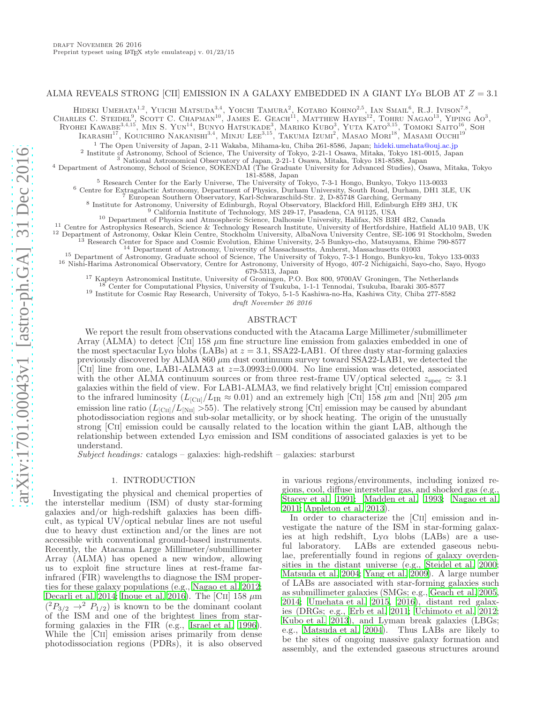# ALMA REVEALS STRONG [CII] EMISSION IN A GALAXY EMBEDDED IN A GIANT LY $\alpha$  BLOB AT  $Z = 3.1$

HIDEKI UMEHATA<sup>1,2</sup>, YUICHI MATSUDA<sup>3,4</sup>, YOICHI TAMURA<sup>2</sup>, KOTARO KOHNO<sup>2,5</sup>, IAN SMAIL<sup>6</sup>, R.J. IVISON<sup>7,8</sup>,

CHARLES C. STEIDEL<sup>9</sup>, SCOTT C. CHAPMAN<sup>10</sup>, JAMES E. GEACH<sup>11</sup>, MATTHEW HAYES<sup>12</sup>, TOHRU NAGAO<sup>13</sup>, YIPING AO<sup>3</sup>,

Ryohei Kawabe<sup>3,4,15</sup>, Min S. Yun<sup>14</sup>, Bunyo Hatsukade<sup>3</sup>, Mariko Kubo<sup>3</sup>, Yuta Kato<sup>3,15</sup>, Tomoki Saito<sup>16</sup>, Soh

Ikarashi $^{17}$ , Kouichiro Nakanishi<sup>3,4</sup>, Minju Lee<sup>3,15</sup>, Takuma Izumi<sup>2</sup>, Masao Mori<sup>18</sup>, Masami Ouchi<sup>19</sup>

<sup>1</sup> The Open University of Japan, 2-11 Wakaba, Mihama-ku, Chiba 261-8586, Japan; hideki.umehata@ouj.ac.jp

<sup>2</sup> Institute of Astronomy, School of Science, The University of Tokyo, 2-21-1 Osawa, Mitaka, Tokyo 181-0015, Japan<br><sup>3</sup> National Astronomical Observatory of Japan, 2-21-1 Osawa, Mitaka, Tokyo 181-8588, Japan

<sup>4</sup> Department of Astronomy, School of Science, SOKENDAI (The Graduate University for Advanced Studies), Osawa, Mitaka, Tokyo 181-8588, Japan

<sup>5</sup> Research Center for the Early Universe, The University of Tokyo, 7-3-1 Hongo, Bunkyo, Tokyo 113-0033

<sup>6</sup> Centre for Extragalactic Astronomy, Department of Physics, Durham University, South Road, Durham, DH1 3LE, UK

<sup>7</sup> European Southern Observatory, Karl-Schwarzschild-Str. 2, D-85748 Garching, Germany 8 Institute for Astronomy, University of Edinburgh, Royal Observatory, Blackford Hill, Edinburgh EH9 3HJ, UK

<sup>9</sup> California Institute of Technology, MS 249-17, Pasadena, CA 91125, USA

<sup>10</sup> Department of Physics and Atmospheric Science, Dalhousie University, Halifax, NS B3H 4R2, Canada

<sup>11</sup> Centre for Astrophysics Research, Science & Technology Research Institute, University of Hertfordshire, Hatfield AL10 9AB, UK

<sup>12</sup> Department of Astronomy, Oskar Klein Centre, Stockholm University, AlbaNova University Centre, SE-106 91 Stockholm, Sweden

<sup>13</sup> Research Center for Space and Cosmic Evolution, Ehime University, 2-5 Bunkyo-cho, Matsuyama, Ehime 790-8577

<sup>14</sup> Department of Astronomy, University of Massachusetts, Amherst, Massachusetts 01003

<sup>15</sup> Department of Astronomy, Graduate school of Science, The University of Tokyo, 7-3-1 Hongo, Bunkyo-ku, Tokyo 133-0033 <sup>16</sup> Nishi-Harima Astronomical Observatory, Centre for Astronomy, University of Hyogo, 407-2 Nichigaichi, Sayo-cho, Sayo, Hyogo 679-5313, Japan

<sup>17</sup> Kapteyn Astronomical Institute, University of Groningen, P.O. Box 800, 9700AV Groningen, The Netherlands

<sup>18</sup> Center for Computational Physics, University of Tsukuba, 1-1-1 Tennodai, Tsukuba, Ibaraki 305-8577

<sup>19</sup> Institute for Cosmic Ray Research, University of Tokyo, 5-1-5 Kashiwa-no-Ha, Kashiwa City, Chiba 277-8582

draft November 26 2016

#### ABSTRACT

We report the result from observations conducted with the Atacama Large Millimeter/submillimeter Array (ALMA) to detect [CII] 158  $\mu$ m fine structure line emission from galaxies embedded in one of the most spectacular Ly $\alpha$  blobs (LABs) at  $z = 3.1$ , SSA22-LAB1. Of three dusty star-forming galaxies previously discovered by ALMA 860  $\mu$ m dust continuum survey toward SSA22-LAB1, we detected the [CII] line from one, LAB1-ALMA3 at  $z=3.0993\pm0.0004$ . No line emission was detected, associated with the other ALMA continuum sources or from three rest-frame UV/optical selected  $z_{\rm spec} \simeq 3.1$ galaxies within the field of view. For LAB1-ALMA3, we find relatively bright [Cii] emission compared to the infrared luminosity ( $L_{\text{[CII]}}/L_{\text{IR}} \approx 0.01$ ) and an extremely high [CII] 158  $\mu$ m and [NII] 205  $\mu$ m emission line ratio  $(L_{\text{[C\textsc{ii}]}}/L_{\text{[N\textsc{ii}]}} > 55)$ . The relatively strong [CII] emission may be caused by abundant photodissociation regions and sub-solar metallicity, or by shock heating. The origin of the unusually strong [Cii] emission could be causally related to the location within the giant LAB, although the relationship between extended  $L_{V\alpha}$  emission and ISM conditions of associated galaxies is yet to be understand.

Subject headings: catalogs – galaxies: high-redshift – galaxies: starburst

### 1. INTRODUCTION

Investigating the physical and chemical properties of the interstellar medium (ISM) of dusty star-forming galaxies and/or high-redshift galaxies has been difficult, as typical UV/optical nebular lines are not useful due to heavy dust extinction and/or the lines are not accessible with conventional ground-based instruments. Recently, the Atacama Large Millimeter/submillimeter Array (ALMA) has opened a new window, allowing us to exploit fine structure lines at rest-frame farinfrared (FIR) wavelengths to diagnose the ISM properties for these galaxy populations (e.g., [Nagao et al. 2012;](#page-5-0) [Decarli et al. 2014](#page-5-1); [Inoue et al. 2016\)](#page-5-2). The [CII]  $158 \ \mu m$  $(^{2}P_{3/2} \rightarrow ^{2}P_{1/2})$  is known to be the dominant coolant of the ISM and one of the brightest lines from starforming galaxies in the FIR (e.g., [Israel et al. 1996\)](#page-5-3). While the [Cii] emission arises primarily from dense photodissociation regions (PDRs), it is also observed

in various regions/environments, including ionized regions, cool, diffuse interstellar gas, and shocked gas (e.g., [Stacey et al. 1991;](#page-5-4) [Madden et al. 1993;](#page-5-5) [Nagao et al.](#page-5-6) [2011;](#page-5-6) [Appleton et al. 2013\)](#page-5-7).

In order to characterize the [CII] emission and investigate the nature of the ISM in star-forming galaxies at high redshift,  $Ly\alpha$  blobs (LABs) are a useful laboratory. LABs are extended gaseous nebulae, preferentially found in regions of galaxy overdensities in the distant universe (e.g., [Steidel et al. 2000](#page-5-8); [Matsuda et al. 2004;](#page-5-9) [Yang et al. 2009\)](#page-5-10). A large number of LABs are associated with star-forming galaxies such as submillimeter galaxies (SMGs; e.g., [Geach et al. 2005](#page-5-11), [2014;](#page-5-12) [Umehata et al. 2015](#page-5-13), [2016](#page-5-14)), distant red galaxies (DRGs; e.g., [Erb et al. 2011;](#page-5-15) [Uchimoto et al. 2012](#page-5-16); [Kubo et al. 2013\)](#page-5-17), and Lyman break galaxies (LBGs; e.g., [Matsuda et al. 2004\)](#page-5-9). Thus LABs are likely to be the sites of ongoing massive galaxy formation and assembly, and the extended gaseous structures around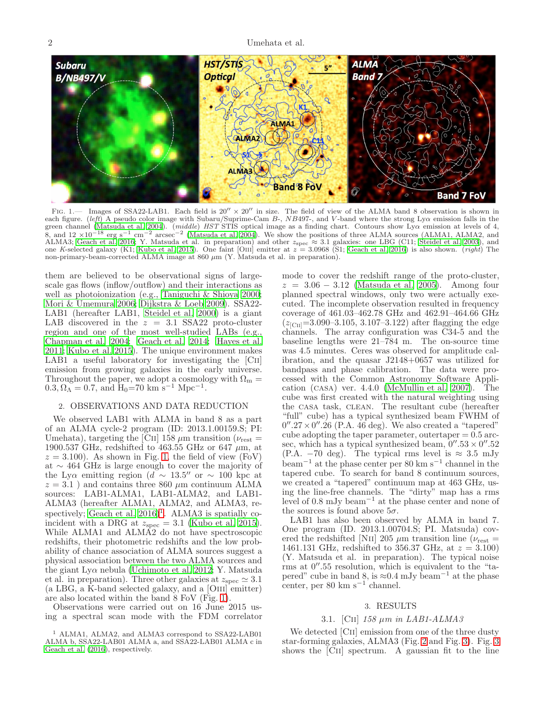2 Umehata et al.



<span id="page-1-0"></span>FIG. 1.— Images of SSA22-LAB1. Each field is  $20'' \times 20''$  in size. The field of view of the ALMA band 8 observation is shown in each figure. (left) A pseudo color image with Subaru/Suprime-Cam B-, NB497-, and V-band where the strong Ly $\alpha$  emission falls in the green channel [\(Matsuda et al. 2004\)](#page-5-9). *(middle) HST* STIS optical image as a finding chart. Contours show Ly $\alpha$  emission at levels of 4, 8, and  $12 \times 10^{-18}$  erg s<sup>-1</sup> cm<sup>-2</sup> arcsec<sup>-2</sup> [\(Matsuda et al. 2004](#page-5-9)). We show the positions of three ALMA sources (ALMA1, ALMA2, and ALMA3; [Geach et al. 2016](#page-5-18); Y. Matsuda et al. in preparation) and other  $z_{\rm spec} \approx 3.1$  galaxies: one LBG (C11; [Steidel et al. 2003](#page-5-19)), and one K-selected galaxy (K1; [Kubo et al. 2015\)](#page-5-20). One faint [OIII] emitter at  $z = 3.0968$  (S1; [Geach et al. 2016\)](#page-5-18) is also shown. (*right*) The non-primary-beam-corrected ALMA image at  $860 \ \mu m$  (Y. Matsuda et al. in preparation).

them are believed to be observational signs of largescale gas flows (inflow/outflow) and their interactions as well as photoionization (e.g., [Taniguchi & Shioya 2000;](#page-5-21) [Mori & Umemura 2006;](#page-5-22) [Dijkstra & Loeb 2009](#page-5-23)). SSA22- LAB1 (hereafter LAB1, [Steidel et al. 2000\)](#page-5-8) is a giant LAB discovered in the  $z = 3.1$  SSA22 proto-cluster region and one of the most well-studied LABs (e.g., [Chapman et al. 2004;](#page-5-24) [Geach et al. 2014;](#page-5-12) [Hayes et al.](#page-5-25) [2011;](#page-5-25) [Kubo et al. 2015\)](#page-5-20). The unique environment makes LAB1 a useful laboratory for investigating the [CII] emission from growing galaxies in the early universe. Throughout the paper, we adopt a cosmology with  $\Omega_{\rm m} =$  $0.3, \Omega_{\Lambda} = 0.7$ , and  $H_0 = 70$  km s<sup>-1</sup> Mpc<sup>-1</sup>.

### 2. OBSERVATIONS AND DATA REDUCTION

We observed LAB1 with ALMA in band 8 as a part of an ALMA cycle-2 program (ID: 2013.1.00159.S; PI: Umehata), targeting the [CII] 158  $\mu$ m transition ( $\nu_{\text{rest}} =$ 1900.537 GHz, redshifted to 463.55 GHz or 647  $\mu$ m, at  $z = 3.100$ . As shown in Fig. [1,](#page-1-0) the field of view (FoV) at ∼ 464 GHz is large enough to cover the majority of the Lyα emitting region  $(d \sim 13.5''$  or  $\sim 100$  kpc at  $z = 3.1$ ) and contains three 860  $\mu$ m continuum ALMA sources: LAB1-ALMA1, LAB1-ALMA2, and LAB1- ALMA3 (hereafter ALMA1, ALMA2, and ALMA3, respectively; Geach et al.  $2016$  $2016$  $2016$ <sup>1</sup>. ALMA3 is spatially coincident with a DRG at  $z_{\text{spec}} = 3.1$  [\(Kubo et al. 2015\)](#page-5-20). While ALMA1 and ALMA2 do not have spectroscopic redshifts, their photometric redshifts and the low probability of chance association of ALMA sources suggest a physical association between the two ALMA sources and the giant Lyα nebula [\(Uchimoto et al. 2012;](#page-5-16) Y. Matsuda et al. in preparation). Three other galaxies at  $z_{\rm spec} \simeq 3.1$ (a LBG, a K-band selected galaxy, and a [Oiii] emitter) are also located within the band 8 FoV (Fig. [1\)](#page-1-0).

Observations were carried out on 16 June 2015 using a spectral scan mode with the FDM correlator mode to cover the redshift range of the proto-cluster,  $z = 3.06 - 3.12$  [\(Matsuda et al. 2005\)](#page-5-26). Among four planned spectral windows, only two were actually executed. The incomplete observation resulted in frequency coverage of 461.03–462.78 GHz and 462.91–464.66 GHz  $(z_{\text{[CII]}}=3.090-3.105, 3.107-3.122)$  after flagging the edge channels. The array configuration was C34-5 and the baseline lengths were 21–784 m. The on-source time was 4.5 minutes. Ceres was observed for amplitude calibration, and the quasar J2148+0657 was utilized for bandpass and phase calibration. The data were processed with the Common Astronomy Software Application (casa) ver. 4.4.0 [\(McMullin et al. 2007](#page-5-27)). The cube was first created with the natural weighting using the casa task, clean. The resultant cube (hereafter "full" cube) has a typical synthesized beam FWHM of  $0''.27 \times 0''.26$  (P.A.  $46$  deg). We also created a "tapered" cube adopting the taper parameter, outertaper  $= 0.5$  arcsec, which has a typical synthesized beam,  $0''.53 \times 0''.52$ (P.A.  $-70$  deg). The typical rms level is  $\approx 3.5$  mJy beam<sup>−</sup><sup>1</sup> at the phase center per 80 km s<sup>−</sup><sup>1</sup> channel in the tapered cube. To search for band 8 continuum sources, we created a "tapered" continuum map at 463 GHz, using the line-free channels. The "dirty" map has a rms level of 0.8 mJy beam<sup>−</sup><sup>1</sup> at the phase center and none of the sources is found above  $5\sigma$ .

LAB1 has also been observed by ALMA in band 7. One program (ID. 2013.1.00704.S; PI. Matsuda) covered the redshifted [NII] 205  $\mu$ m transition line ( $\nu_{\text{rest}} =$ 1461.131 GHz, redshifted to 356.37 GHz, at  $z = 3.100$ ) (Y. Matsuda et al. in preparation). The typical noise rms at  $0''$ .55 resolution, which is equivalent to the "tapered" cube in band 8, is  $\approx 0.4$  mJy beam<sup>-1</sup> at the phase center, per 80 km s<sup> $-1$ </sup> channel.

# 3. RESULTS

### 3.1. [CII]  $158 \mu m$  in LAB1-ALMA3

We detected [CII] emission from one of the three dusty star-forming galaxies, ALMA3 (Fig. [2](#page-2-0) and Fig. [3\)](#page-2-1). Fig. [3](#page-2-1) shows the [Cii] spectrum. A gaussian fit to the line

<span id="page-1-1"></span><sup>1</sup> ALMA1, ALMA2, and ALMA3 correspond to SSA22-LAB01 ALMA b, SSA22-LAB01 ALMA a, and SSA22-LAB01 ALMA c in [Geach et al. \(2016](#page-5-18)), respectively.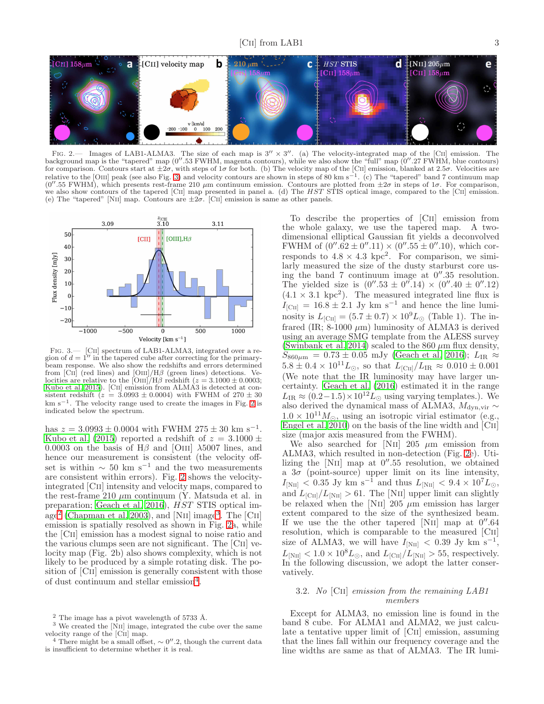

<span id="page-2-0"></span>FIG. 2.— Images of LAB1-ALMA3. The size of each map is  $3'' \times 3''$ . (a) The velocity-integrated map of the [CII] emission. The background map is the "tapered" map (0′′.53 FWHM, magenta contours), while we also show the "full" map (0′′.27 FWHM, blue contours) for comparison. Contours start at  $\pm 2\sigma$ , with steps of  $1\sigma$  for both. (b) The velocity map of the [CII] emission, blanked at 2.5 $\sigma$ . Velocities are relative to the [OIII] peak (see also Fig. [3\)](#page-2-1) and velocity contours are shown in steps of 80 km s<sup>-1</sup>. (c) The "tapered" band 7 continuum map (0''.55 FWHM), which presents rest-frame 210  $\mu$ m continuum emission. Contours are plotted from  $\pm 2\sigma$  in steps of 1 $\sigma$ . For comparison, we also show contours of the tapered [CII] map presented in panel a. (d) The HST STIS optical image, compared to the [CII] emission. (e) The "tapered" [NII] map. Contours are  $\pm 2\sigma$ . [CII] emission is same as other panels.



<span id="page-2-1"></span>FIG. 3.— [CII] spectrum of LAB1-ALMA3, integrated over a region of  $d = 1''$  in the tapered cube after correcting for the primarybeam response. We also show the redshifts and errors determined from [Cii] (red lines) and [Oiii]/H $\beta$  (green lines) detections. Ve-<br>locities are relative to the [Oiii]/H $\beta$  redshift ( $z = 3.1000 \pm 0.0003$ ; [Kubo et al. 2015](#page-5-20)). [Cii] emission from ALMA3 is detected at consistent redshift  $(z = 3.0993 \pm 0.0004)$  with FWHM of  $270 \pm 30$ km s−<sup>1</sup> . The velocity range used to create the images in Fig. [2](#page-2-0) is indicated below the spectrum.

has  $z = 3.0993 \pm 0.0004$  with FWHM 275  $\pm 30$  km s<sup>-1</sup>. [Kubo et al. \(2015](#page-5-20)) reported a redshift of  $z = 3.1000 \pm$ 0.0003 on the basis of  $H\beta$  and [OIII]  $\lambda$ 5007 lines, and hence our measurement is consistent (the velocity offset is within  $\sim 50 \text{ km s}^{-1}$  and the two measurements are consistent within errors). Fig. [2](#page-2-0) shows the velocityintegrated [Cii] intensity and velocity maps, compared to the rest-frame  $210 \mu m$  continuum (Y. Matsuda et al. in preparation; [Geach et al. 2016](#page-5-18)),  $\hat{H}ST$  STIS optical im-age<sup>[2](#page-2-2)</sup> [\(Chapman et al. 2003\)](#page-5-28), and [NII] image<sup>[3](#page-2-3)</sup>. The [CII] emission is spatially resolved as shown in Fig. [2a](#page-2-0), while the [Cii] emission has a modest signal to noise ratio and the various clumps seen are not significant. The [Cii] velocity map (Fig. 2b) also shows complexity, which is not likely to be produced by a simple rotating disk. The position of [C<sub>II</sub>] emission is generally consistent with those of dust continuum and stellar emission<sup>[4](#page-2-4)</sup>.

To describe the properties of [Cii] emission from the whole galaxy, we use the tapered map. A twodimensional elliptical Gaussian fit yields a deconvolved FWHM of  $(0''.62 \pm 0''.11) \times (0''.55 \pm 0''.10)$ , which corresponds to  $4.8 \times 4.3$  kpc<sup>2</sup>. For comparison, we similarly measured the size of the dusty starburst core using the band 7 continuum image at  $0''.35$  resolution. The yielded size is  $(0''.53 \pm 0''.14) \times (0''.40 \pm 0''.12)$  $(4.1 \times 3.1 \text{ kpc}^2)$ . The measured integrated line flux is  $I_{\text{[CII]}} = 16.8 \pm 2.1 \text{ Jy km s}^{-1}$  and hence the line luminosity is  $L_{\text{[CII]}} = (5.7 \pm 0.7) \times 10^9 L_{\odot}$  (Table 1). The infrared (IR;  $8-1000 \mu m$ ) luminosity of ALMA3 is derived using an average SMG template from the ALESS survey [\(Swinbank et al. 2014\)](#page-5-29) scaled to the 860  $\mu$ m flux density,  $S_{860\mu\text{m}} = 0.73 \pm 0.05 \text{ mJy}$  [\(Geach et al. 2016\)](#page-5-18);  $L_{IR} \approx$  $5.8 \pm 0.4 \times 10^{11} L_{\odot}$ , so that  $L_{\rm [CII]}/L_{\rm IR} \approx 0.010 \pm 0.001$ (We note that the IR luminosity may have larger uncertainty. [Geach et al. \(2016](#page-5-18)) estimated it in the range  $L_{IR} \approx (0.2-1.5) \times 10^{12} L_{\odot}$  using varying templates.). We also derived the dynamical mass of ALMA3,  $M_{\rm dyn,vir} \sim$  $1.0 \times 10^{11} M_{\odot}$ , using an isotropic virial estimator (e.g., Engel et al.  $2010$ ) on the basis of the line width and  $\overline{[CII]}$ size (major axis measured from the FWHM).

We also searched for [NII] 205  $\mu$ m emission from ALMA3, which resulted in non-detection (Fig. [2e](#page-2-0)). Utilizing the [NII] map at  $0''.55$  resolution, we obtained a  $3\sigma$  (point-source) upper limit on its line intensity,  $I_{\text{[NII]}} < 0.35 \text{ Jy km s}^{-1}$  and thus  $L_{\text{[NII]}} < 9.4 \times 10^7 L_{\odot}$ , and  $L_{\text{[CII]}}/L_{\text{[NII]}} > 61$ . The [NII] upper limit can slightly be relaxed when the [N<sub>II</sub>] 205  $\mu$ m emission has larger extent compared to the size of the synthesized beam. If we use the the other tapered [NII] map at  $0''.64$ resolution, which is comparable to the measured [Cii] size of ALMA3, we will have  $I_{\text{[NII]}} < 0.39 \text{ Jy km s}^{-1}$ ,  $L_{\text{[NII]}} < 1.0 \times 10^8 L_{\odot}$ , and  $L_{\text{[CII]}}/L_{\text{[NII]}} > 55$ , respectively. In the following discussion, we adopt the latter conservatively.

## 3.2. No [Cii] emission from the remaining LAB1 members

Except for ALMA3, no emission line is found in the band 8 cube. For ALMA1 and ALMA2, we just calculate a tentative upper limit of [Cii] emission, assuming that the lines fall within our frequency coverage and the line widths are same as that of ALMA3. The IR lumi-

<span id="page-2-2"></span> $^2$  The image has a pivot wavelength of 5733 Å.

<sup>&</sup>lt;sup>3</sup> We created the [N<sub>II</sub>] image, integrated the cube over the same velocity range of the [Cii] map.

<span id="page-2-4"></span><span id="page-2-3"></span><sup>4</sup> There might be a small offset, ∼ 0 ′′ .2, though the current data is insufficient to determine whether it is real.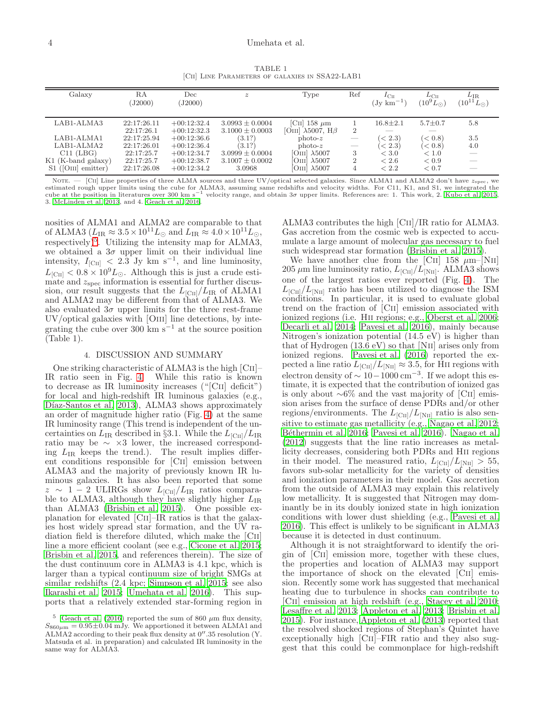TABLE 1 [CII] LINE PARAMETERS OF GALAXIES IN SSA22-LAB1

| Galaxy                | RA          | $_{\mathrm{Dec}}$ | $\boldsymbol{z}$    | Type                             | Ref                                                                                                                                                                                                                                                                                                                                                                                                                                                                        | $I_{\rm CII}$          | $L_{\rm CII}$      | $L_{\rm IR}$         |  |
|-----------------------|-------------|-------------------|---------------------|----------------------------------|----------------------------------------------------------------------------------------------------------------------------------------------------------------------------------------------------------------------------------------------------------------------------------------------------------------------------------------------------------------------------------------------------------------------------------------------------------------------------|------------------------|--------------------|----------------------|--|
|                       | J2000       | J2000)            |                     |                                  |                                                                                                                                                                                                                                                                                                                                                                                                                                                                            | $(Jv \text{ km}^{-1})$ | $(10^9 L_{\odot})$ | $(10^{11}L_{\odot})$ |  |
|                       |             |                   |                     |                                  |                                                                                                                                                                                                                                                                                                                                                                                                                                                                            |                        |                    |                      |  |
| LAB1-ALMA3            | 22:17:26.11 | $+00:12:32.4$     | $3.0993 \pm 0.0004$ | [CII] 158 $\mu$ m                |                                                                                                                                                                                                                                                                                                                                                                                                                                                                            | $16.8 \pm 2.1$         | $5.7 \pm 0.7$      | 5.8                  |  |
|                       | 22:17:26.1  | $+00:12:32.3$     | $3.1000 \pm 0.0003$ | [OIII] $\lambda$ 5007, H $\beta$ | $\overline{2}$                                                                                                                                                                                                                                                                                                                                                                                                                                                             |                        |                    |                      |  |
| LAB1-ALMA1            | 22:17:25.94 | $+00:12:36.6$     | (3.1?)              | $photo-z$                        |                                                                                                                                                                                                                                                                                                                                                                                                                                                                            | $\leq$ 2.3)            | $\leq 0.8$         | 3.5                  |  |
| LAB1-ALMA2            | 22:17:26.01 | $+00:12:36.4$     | (3.1?)              | $photo-z$                        | $\frac{1}{2} \left( \frac{1}{2} \right) \left( \frac{1}{2} \right) \left( \frac{1}{2} \right) \left( \frac{1}{2} \right) \left( \frac{1}{2} \right) \left( \frac{1}{2} \right) \left( \frac{1}{2} \right) \left( \frac{1}{2} \right) \left( \frac{1}{2} \right) \left( \frac{1}{2} \right) \left( \frac{1}{2} \right) \left( \frac{1}{2} \right) \left( \frac{1}{2} \right) \left( \frac{1}{2} \right) \left( \frac{1}{2} \right) \left( \frac{1}{2} \right) \left( \frac$ | $\leq$ 2.3)            | (< 0.8)            | 4.0                  |  |
| $C11$ (LBG)           | 22:17:25.7  | $+00:12:34.7$     | $3.0999 \pm 0.0004$ | [OIII] $\lambda$ 5007            | 3                                                                                                                                                                                                                                                                                                                                                                                                                                                                          | < 3.0                  | < 1.0              |                      |  |
| $K1$ (K-band galaxy)  | 22:17:25.7  | $+00:12:38.7$     | $3.1007 \pm 0.0002$ | [OIII] $\lambda$ 5007            |                                                                                                                                                                                                                                                                                                                                                                                                                                                                            | ${}< 2.6$              | < 0.9              |                      |  |
| $S1$ ([OIII] emitter) | 22:17:26.08 | $+00:12:34.2$     | 3.0968              | [OIII] $\lambda 5007$            |                                                                                                                                                                                                                                                                                                                                                                                                                                                                            | < 2.2                  | < 0.7              |                      |  |

NOTE. — [CII] Line properties of three ALMA sources and three UV/optical selected galaxies. Since ALMA1 and ALMA2 don't have  $z_{\rm spec}$ , we estimated rough upper limits using the cube for ALMA3, assuming same redshifts and velocity widths. For C11, K1, and S1, we integrated the<br>cube at the position in literatures over 300 km s<sup>-1</sup> velocity range, and obtain 3 3. [McLinden et al. 2013](#page-5-31), and 4. [Geach et al. 2016](#page-5-18).

nosities of ALMA1 and ALMA2 are comparable to that of ALMA3 ( $L_{\text{IR}} \approx 3.5 \times 10^{11} L_{\odot}$  and  $L_{\text{IR}} \approx 4.0 \times 10^{11} L_{\odot}$ ) respectively)<sup>[5](#page-3-0)</sup>. Utilizing the intensity map for ALMA3, we obtained a  $3\sigma$  upper limit on their individual line intensity,  $I_{\text{[CII]}} < 2.\overline{3}$  Jy km s<sup>-1</sup>, and line luminosity,  $L_{\text{[CII]}} < 0.8 \times 10^9 L_{\odot}$ . Although this is just a crude estimate and  $z_{\rm spec}$  information is essential for further discussion, our result suggests that the  $L_{\text{[CII]}}/L_{\text{IR}}$  of ALMA1 and ALMA2 may be different from that of ALMA3. We also evaluated  $3\sigma$  upper limits for the three rest-frame UV/optical galaxies with [Oiii] line detections, by integrating the cube over 300 km s<sup>-1</sup> at the source position (Table 1).

### 4. DISCUSSION AND SUMMARY

One striking characteristic of ALMA3 is the high [Cii]– IR ratio seen in Fig. [4.](#page-4-0) While this ratio is known to decrease as IR luminosity increases ("[Cii] deficit") for local and high-redshift IR luminous galaxies (e.g., Díaz-Santos et al. 2013), ALMA3 shows approximately an order of magnitude higher ratio (Fig. [4\)](#page-4-0) at the same IR luminosity range (This trend is independent of the uncertainties on  $L_{\text{IR}}$  described in §3.1. While the  $L_{\text{[CII]}}/L_{\text{IR}}$ ratio may be  $\sim \times 3$  lower, the increased corresponding  $L_{IR}$  keeps the trend.). The result implies different conditions responsible for [Cii] emission between ALMA3 and the majority of previously known IR luminous galaxies. It has also been reported that some  $z \sim 1 - 2$  ULIRGs show  $L_{\text{[CII]}}/L_{\text{IR}}$  ratios comparable to ALMA3, although they have slightly higher  $L_{IR}$ than ALMA3 [\(Brisbin et al. 2015\)](#page-5-33). One possible explanation for elevated [Cii]–IR ratios is that the galaxies host widely spread star formation, and the UV radiation field is therefore diluted, which make the [Cii] line a more efficient coolant (see e.g., [Cicone et al. 2015;](#page-5-34) [Brisbin et al. 2015,](#page-5-33) and references therein). The size of the dust continuum core in ALMA3 is 4.1 kpc, which is larger than a typical continuum size of bright SMGs at similar redshifts (2.4 kpc; [Simpson et al. 2015;](#page-5-35) see also [Ikarashi et al. 2015;](#page-5-36) [Umehata et al. 2016](#page-5-14)). This supports that a relatively extended star-forming region in

ALMA3 contributes the high [Cii]/IR ratio for ALMA3. Gas accretion from the cosmic web is expected to accumulate a large amount of molecular gas necessary to fuel such widespread star formation [\(Brisbin et al. 2015\)](#page-5-33).

We have another clue from the [CII] 158  $\mu$ m–[NII] 205  $\mu$ m line luminosity ratio,  $L_{\text{[CII]}}/L_{\text{[NII]}}$ . ALMA3 shows one of the largest ratios ever reported (Fig. [4\)](#page-4-0). The  $L_{\text{[CII]}}/L_{\text{[NII]}}$  ratio has been utilized to diagnose the ISM conditions. In particular, it is used to evaluate global trend on the fraction of [Cii] emission associated with ionized regions (i.e. Hii regions; e.g., [Oberst et al. 2006](#page-5-37); [Decarli et al. 2014;](#page-5-1) [Pavesi et al. 2016](#page-5-38)), mainly because Nitrogen's ionization potential  $(14.5 \text{ eV})$  is higher than that of Hydrogen (13.6 eV) so that [Nii] arises only from ionized regions. [Pavesi et al. \(2016\)](#page-5-38) reported the expected a line ratio  $L_{\text{[CII]}}/L_{\text{[NII]}} \approx 3.5$ , for HII regions with electron density of  $\sim 10-1000$  cm<sup>-3</sup>. If we adopt this estimate, it is expected that the contribution of ionized gas is only about ∼6% and the vast majority of [Cii] emission arises from the surface of dense PDRs and/or other regions/environments. The  $L_{\text{[CII]}}/L_{\text{[NII]}}$  ratio is also sensitive to estimate gas metallicity (e.g., [Nagao et al. 2012](#page-5-0); Béthermin et al. 2016; [Pavesi et al. 2016\)](#page-5-38). [Nagao et al.](#page-5-0) [\(2012\)](#page-5-0) suggests that the line ratio increases as metallicity decreases, considering both PDRs and Hii regions in their model. The measured ratio,  $L_{\text{[CII]}}/L_{\text{[NII]}} > 55$ , favors sub-solar metallicity for the variety of densities and ionization parameters in their model. Gas accretion from the outside of ALMA3 may explain this relatively low metallicity. It is suggested that Nitrogen may dominantly be in its doubly ionized state in high ionization conditions with lower dust shielding (e.g., [Pavesi et al.](#page-5-38) [2016\)](#page-5-38). This effect is unlikely to be significant in ALMA3 because it is detected in dust continuum.

Although it is not straightforward to identify the origin of [Cii] emission more, together with these clues, the properties and location of ALMA3 may support the importance of shock on the elevated [Cii] emission. Recently some work has suggested that mechanical heating due to turbulence in shocks can contribute to [Cii] emission at high redshift (e.g., [Stacey et al. 2010](#page-5-40); [Lesaffre et al. 2013;](#page-5-41) [Appleton et al. 2013;](#page-5-7) [Brisbin et al.](#page-5-33) [2015\)](#page-5-33). For instance, [Appleton et al. \(2013\)](#page-5-7) reported that the resolved shocked regions of Stephan's Quintet have exceptionally high [CII]–FIR ratio and they also suggest that this could be commonplace for high-redshift

<span id="page-3-0"></span><sup>&</sup>lt;sup>5</sup> [Geach et al. \(2016\)](#page-5-18) reported the sum of 860  $\mu$ m flux density,  $S_{860\mu\text{m}} = 0.95 \pm 0.04 \text{ mJy}$ . We apportioned it between ALMA1 and ALMA2 according to their peak flux density at 0′′ .35 resolution (Y. Matsuda et al. in preparation) and calculated IR luminosity in the same way for ALMA3.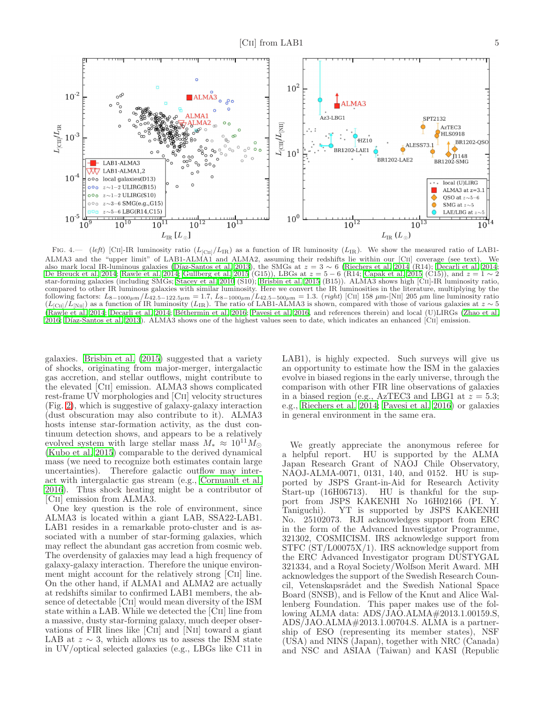

<span id="page-4-0"></span>FIG. 4.— (left) [CII]-IR luminosity ratio  $(L_{\text{ICIII}}/L_{\text{IR}})$  as a function of IR luminosity ( $L_{\text{IR}}$ ). We show the measured ratio of LAB1-ALMA3 and the "upper limit" of LAB1-ALMA1 and ALMA2, assuming their redshifts lie within our [Cii] coverage (see text). We also mark local IR-luminous galaxies (Díaz-Santos et al. 2013), the SMGs at  $z = 3 \sim 6$  [\(Riechers et al. 2014](#page-5-42) (R14); [Decarli et al. 2014](#page-5-1); [De Breuck et al. 2014](#page-5-43); [Rawle et al. 2014;](#page-5-44) [Gullberg et al. 2015](#page-5-45) (G15)), LBGs at  $z = 5 - 6$  (R14; [Capak et al. 2015](#page-5-46) (C15)), and  $z = 1 \sim 2$ star-forming galaxies (including SMGs; [Stacey et al. 2010](#page-5-40) (S10); [Brisbin et al. 2015](#page-5-33) (B15)). ALMA3 shows high [Cii]-IR luminosity ratio, compared to other IR luminous galaxies with similar luminosity. Here we convert the IR luminosities in the literature, multiplying by the following factors:  $L_{8-1000\mu m}/L_{42.5-122.5\mu m} = 1.7$ ,  $L_{8-1000\mu m}/L_{42.5-500\mu m} = 1.3$ . (*right*) [CII] 158  $\mu$ m-[NII] 205  $\mu$ m line luminosity ratio ( $L_{\text{[CII]}}/L_{\text{[NII]}}$ ) as a function of IR luminosity ( $L_{\text{IR}}$ [\(Rawle et al. 2014](#page-5-44); [Decarli et al. 2014](#page-5-1); [B´ethermin et al. 2016](#page-5-39); [Pavesi et al. 2016,](#page-5-38) and references therein) and local (U)LIRGs [\(Zhao et al.](#page-5-47) [2016;](#page-5-47) [D´ıaz-Santos et al. 2013](#page-5-32)). ALMA3 shows one of the highest values seen to date, which indicates an enhanced [Cii] emission.

galaxies. [Brisbin et al. \(2015\)](#page-5-33) suggested that a variety of shocks, originating from major-merger, intergalactic gas accretion, and stellar outflows, might contribute to the elevated [Cii] emission. ALMA3 shows complicated rest-frame UV morphologies and [Cii] velocity structures (Fig. [2\)](#page-2-0), which is suggestive of galaxy-galaxy interaction (dust obscuration may also contribute to it). ALMA3 hosts intense star-formation activity, as the dust continuum detection shows, and appears to be a relatively evolved system with large stellar mass  $M_* \approx 10^{11} M_{\odot}$ [\(Kubo et al. 2015](#page-5-20)) comparable to the derived dynamical mass (we need to recognize both estimates contain large uncertainties). Therefore galactic outflow may interact with intergalactic gas stream (e.g., [Cornuault et al.](#page-5-48) [2016\)](#page-5-48). Thus shock heating might be a contributor of [Cii] emission from ALMA3.

One key question is the role of environment, since ALMA3 is located within a giant LAB, SSA22-LAB1. LAB1 resides in a remarkable proto-cluster and is associated with a number of star-forming galaxies, which may reflect the abundant gas accretion from cosmic web. The overdensity of galaxies may lead a high frequency of galaxy-galaxy interaction. Therefore the unique environment might account for the relatively strong [Cii] line. On the other hand, if ALMA1 and ALMA2 are actually at redshifts similar to confirmed LAB1 members, the absence of detectable [Cii] would mean diversity of the ISM state within a LAB. While we detected the [Cii] line from a massive, dusty star-forming galaxy, much deeper observations of FIR lines like [Cii] and [Nii] toward a giant LAB at  $z \sim 3$ , which allows us to assess the ISM state in UV/optical selected galaxies (e.g., LBGs like C11 in

LAB1), is highly expected. Such surveys will give us an opportunity to estimate how the ISM in the galaxies evolve in biased regions in the early universe, through the comparison with other FIR line observations of galaxies in a biased region (e.g., AzTEC3 and LBG1 at  $z = 5.3$ ; e.g., [Riechers et al. 2014;](#page-5-42) [Pavesi et al. 2016\)](#page-5-38) or galaxies in general environment in the same era.

We greatly appreciate the anonymous referee for a helpful report. HU is supported by the ALMA Japan Research Grant of NAOJ Chile Observatory, NAOJ-ALMA-0071, 0131, 140, and 0152. HU is supported by JSPS Grant-in-Aid for Research Activity Start-up (16H06713). HU is thankful for the support from JSPS KAKENHI No 16H02166 (PI. Y. Taniguchi). YT is supported by JSPS KAKENHI No. 25102073. RJI acknowledges support from ERC in the form of the Advanced Investigator Programme, 321302, COSMICISM. IRS acknowledge support from STFC (ST/L00075X/1). IRS acknowledge support from the ERC Advanced Investigator program DUSTYGAL 321334, and a Royal Society/Wolfson Merit Award. MH acknowledges the support of the Swedish Research Council, Vetenskapsrådet and the Swedish National Space Board (SNSB), and is Fellow of the Knut and Alice Wallenberg Foundation. This paper makes use of the following ALMA data: ADS/JAO.ALMA#2013.1.00159.S, ADS/JAO.ALMA#2013.1.00704.S. ALMA is a partnership of ESO (representing its member states), NSF (USA) and NINS (Japan), together with NRC (Canada) and NSC and ASIAA (Taiwan) and KASI (Republic